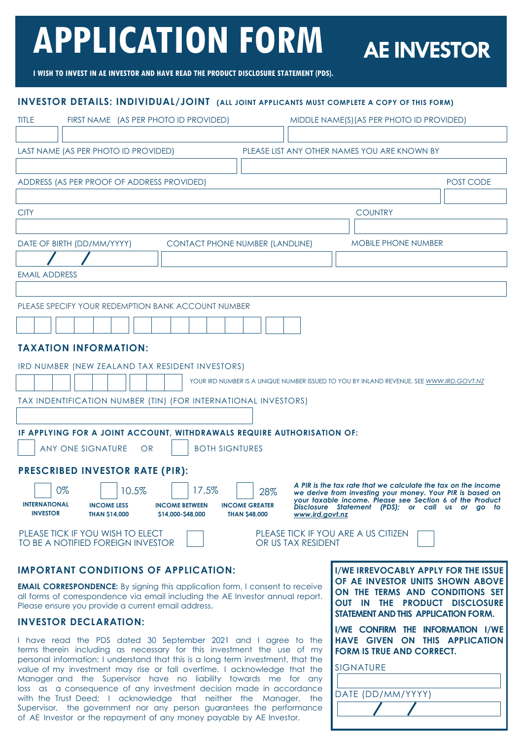# **APPLICATION FORM**

# **AE INVESTOR**

**I WISH TO INVEST IN AE INVESTOR AND HAVE READ THE PRODUCT DISCLOSURE STATEMENT (PDS).** 

# **INVESTOR DETAILS: INDIVIDUAL/JOINT (ALL JOINT APPLICANTS MUST COMPLETE A COPY OF THIS FORM)**

| <b>TITLE</b><br>FIRST NAME (AS PER PHOTO ID PROVIDED)<br>MIDDLE NAME(S) (AS PER PHOTO ID PROVIDED)                                                                                                                                                                                                                                                                                                                                                                                  |  |  |  |  |  |  |
|-------------------------------------------------------------------------------------------------------------------------------------------------------------------------------------------------------------------------------------------------------------------------------------------------------------------------------------------------------------------------------------------------------------------------------------------------------------------------------------|--|--|--|--|--|--|
|                                                                                                                                                                                                                                                                                                                                                                                                                                                                                     |  |  |  |  |  |  |
| LAST NAME (AS PER PHOTO ID PROVIDED)<br>PLEASE LIST ANY OTHER NAMES YOU ARE KNOWN BY                                                                                                                                                                                                                                                                                                                                                                                                |  |  |  |  |  |  |
|                                                                                                                                                                                                                                                                                                                                                                                                                                                                                     |  |  |  |  |  |  |
| ADDRESS (AS PER PROOF OF ADDRESS PROVIDED)<br>POST CODE                                                                                                                                                                                                                                                                                                                                                                                                                             |  |  |  |  |  |  |
|                                                                                                                                                                                                                                                                                                                                                                                                                                                                                     |  |  |  |  |  |  |
| <b>CITY</b><br><b>COUNTRY</b>                                                                                                                                                                                                                                                                                                                                                                                                                                                       |  |  |  |  |  |  |
|                                                                                                                                                                                                                                                                                                                                                                                                                                                                                     |  |  |  |  |  |  |
| <b>MOBILE PHONE NUMBER</b><br>DATE OF BIRTH (DD/MM/YYYY)<br><b>CONTACT PHONE NUMBER (LANDLINE)</b>                                                                                                                                                                                                                                                                                                                                                                                  |  |  |  |  |  |  |
|                                                                                                                                                                                                                                                                                                                                                                                                                                                                                     |  |  |  |  |  |  |
| <b>EMAIL ADDRESS</b>                                                                                                                                                                                                                                                                                                                                                                                                                                                                |  |  |  |  |  |  |
|                                                                                                                                                                                                                                                                                                                                                                                                                                                                                     |  |  |  |  |  |  |
| PLEASE SPECIFY YOUR REDEMPTION BANK ACCOUNT NUMBER                                                                                                                                                                                                                                                                                                                                                                                                                                  |  |  |  |  |  |  |
|                                                                                                                                                                                                                                                                                                                                                                                                                                                                                     |  |  |  |  |  |  |
|                                                                                                                                                                                                                                                                                                                                                                                                                                                                                     |  |  |  |  |  |  |
| <b>TAXATION INFORMATION:</b>                                                                                                                                                                                                                                                                                                                                                                                                                                                        |  |  |  |  |  |  |
| IRD NUMBER (NEW ZEALAND TAX RESIDENT INVESTORS)                                                                                                                                                                                                                                                                                                                                                                                                                                     |  |  |  |  |  |  |
| YOUR IRD NUMBER IS A UNIQUE NUMBER ISSUED TO YOU BY INLAND REVENUE. SEE WWW.IRD.GOVT.NZ                                                                                                                                                                                                                                                                                                                                                                                             |  |  |  |  |  |  |
| TAX INDENTIFICATION NUMBER (TIN) (FOR INTERNATIONAL INVESTORS)                                                                                                                                                                                                                                                                                                                                                                                                                      |  |  |  |  |  |  |
|                                                                                                                                                                                                                                                                                                                                                                                                                                                                                     |  |  |  |  |  |  |
| IF APPLYING FOR A JOINT ACCOUNT, WITHDRAWALS REQUIRE AUTHORISATION OF:                                                                                                                                                                                                                                                                                                                                                                                                              |  |  |  |  |  |  |
| <b>BOTH SIGNTURES</b><br>ANY ONE SIGNATURE<br>OR                                                                                                                                                                                                                                                                                                                                                                                                                                    |  |  |  |  |  |  |
|                                                                                                                                                                                                                                                                                                                                                                                                                                                                                     |  |  |  |  |  |  |
| <b>PRESCRIBED INVESTOR RATE (PIR):</b>                                                                                                                                                                                                                                                                                                                                                                                                                                              |  |  |  |  |  |  |
| A PIR is the tax rate that we calculate the tax on the income<br>0%<br>17.5%<br>10.5%<br>28%<br>we derive from investing your money. Your PIR is based on<br>your taxable income. Please see Section 6 of the Product<br><b>INTERNATIONAL</b><br><b>INCOME LESS</b><br><b>INCOME BETWEEN</b><br><b>INCOME GREATER</b><br>Disclosure Statement (PDS); or call us or go to<br><b>INVESTOR</b><br><b>THAN \$14,000</b><br>\$14,000-\$48,000<br><b>THAN \$48,000</b><br>www.ird.govt.nz |  |  |  |  |  |  |
| PLEASE TICK IF YOU WISH TO ELECT<br>PLEASE TICK IF YOU ARE A US CITIZEN<br>TO BE A NOTIFIED FOREIGN INVESTOR<br>OR US TAX RESIDENT                                                                                                                                                                                                                                                                                                                                                  |  |  |  |  |  |  |

#### **IMPORTANT CONDITIONS OF APPLICATION:**

**EMAIL CORRESPONDENCE:** By signing this application form, I consent to receive all forms of correspondence via email including the AE Investor annual report. Please ensure you provide a current email address.

#### **INVESTOR DECLARATION:**

I have read the PDS dated 30 September 2021 and I agree to the terms therein including as necessary for this investment the use of my personal information; I understand that this is a long term investment, that the value of my investment may rise or fall overtime. I acknowledge that the Manager and the Supervisor have no liability towards me for any loss as a consequence of any investment decision made in accordance with the Trust Deed; I acknowledge that neither the Manager, the Supervisor, the government nor any person guarantees the performance of AE Investor or the repayment of any money payable by AE Investor.

**I/WE IRREVOCABLY APPLY FOR THE ISSUE OF AE INVESTOR UNITS SHOWN ABOVE ON THE TERMS AND CONDITIONS SET OUT IN THE PRODUCT DISCLOSURE STATEMENT AND THIS APPLICATION FORM.** 

I **I/WE CONFIRM THE INFORMATION I/WE HAVE GIVEN ON THIS APPLICATION FORM IS TRUE AND CORRECT.** 

| <b>SIGNATURE</b>  |
|-------------------|
|                   |
| DATE (DD/MM/YYYY) |
|                   |
|                   |